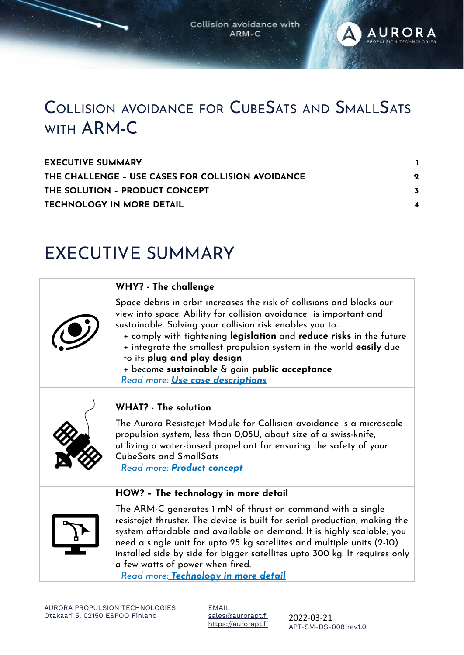Collision avoidance with ARM-C

**AURORA** 



| <b>EXECUTIVE SUMMARY</b>                          |             |
|---------------------------------------------------|-------------|
| THE CHALLENGE - USE CASES FOR COLLISION AVOIDANCE | $\mathbf 2$ |
| THE SOLUTION - PRODUCT CONCEPT                    |             |
| <b>TECHNOLOGY IN MORE DETAIL</b>                  |             |

### <span id="page-0-0"></span>EXECUTIVE SUMMARY

| WHY? - The challenge                                                                                                                                                                                                                                                                                                                                                                                                                                                                 |
|--------------------------------------------------------------------------------------------------------------------------------------------------------------------------------------------------------------------------------------------------------------------------------------------------------------------------------------------------------------------------------------------------------------------------------------------------------------------------------------|
| Space debris in orbit increases the risk of collisions and blocks our<br>view into space. Ability for collision avoidance is important and<br>sustainable. Solving your collision risk enables you to<br>+ comply with tightening legislation and reduce risks in the future<br>+ integrate the smallest propulsion system in the world <b>easily</b> due<br>to its plug and play design<br>+ become sustainable & gain public acceptance<br>Read more: <i>Use case descriptions</i> |
| <b>WHAT?</b> - The solution                                                                                                                                                                                                                                                                                                                                                                                                                                                          |
| The Aurora Resistojet Module for Collision avoidance is a microscale<br>propulsion system, less than 0,05U, about size of a swiss-knife,<br>utilizing a water-based propellant for ensuring the safety of your<br>CubeSats and SmallSats<br>Read more: <b>Product concept</b>                                                                                                                                                                                                        |
| HOW? - The technology in more detail                                                                                                                                                                                                                                                                                                                                                                                                                                                 |
| The ARM-C generates 1 mN of thrust on command with a single<br>resistojet thruster. The device is built for serial production, making the<br>system affordable and available on demand. It is highly scalable; you<br>need a single unit for upto 25 kg satellites and multiple units (2-10)<br>installed side by side for bigger satellites upto 300 kg. It requires only                                                                                                           |

a few watts of power when fired. *Read more: Technology in more detail*

EMAIL [sales@aurorapt.fi](mailto:sales@aurorapt.fi) [https://aurorapt.fi](https://aurorapt.fi/)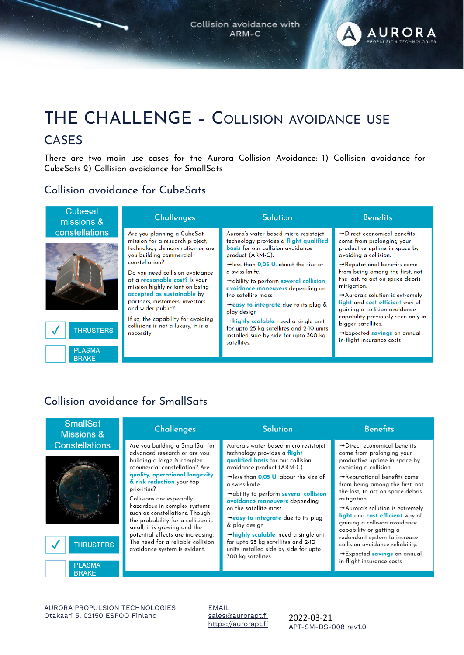

### <span id="page-1-0"></span>THE CHALLENGE – COLLISION AVOIDANCE USE CASES

There are two main use cases for the Aurora Collision Avoidance: 1) Collision avoidance for CubeSats 2) Collision avoidance for SmallSats

#### Collision avoidance for CubeSats

| <b>Cubesat</b><br>missions &       | <b>Challenges</b>                                                                                                                                                                        | <b>Solution</b>                                                                                                                                                                                                                                          | <b>Benefits</b>                                                                                                                                                                                                                                                                                                                                                                         |
|------------------------------------|------------------------------------------------------------------------------------------------------------------------------------------------------------------------------------------|----------------------------------------------------------------------------------------------------------------------------------------------------------------------------------------------------------------------------------------------------------|-----------------------------------------------------------------------------------------------------------------------------------------------------------------------------------------------------------------------------------------------------------------------------------------------------------------------------------------------------------------------------------------|
| <b>constellations</b>              | Are you planning a CubeSat<br>mission for a research project,<br>technology demonstration or are<br>you building commercial<br>constellation?                                            | Aurora's water based micro resistojet<br>technology provides a flight qualified<br>basis for our collision avoidance<br>product (ARM-C).                                                                                                                 | $\rightarrow$ Direct economical benefits<br>come from prolonging your<br>productive uptime in space by<br>avoiding a collision.                                                                                                                                                                                                                                                         |
|                                    | Do you need collision avoidance<br>at a reasonable cost? Is your<br>mission highly reliant on being<br>accepted as sustainable by<br>partners, customers, investors<br>and wider public? | $\rightarrow$ less than 0.05 U, about the size of<br>a swiss-knife.<br>$\rightarrow$ ability to perform several collision<br>avoidance maneuvers depending on<br>the satellite mass.<br>$\rightarrow$ easy to integrate due to its plug &<br>play design | $\rightarrow$ Reputational benefits come<br>from being among the first, not<br>the last, to act on space debris<br>mitigation.<br>$\rightarrow$ Aurora's solution is extremely<br>light and cost efficient way of<br>gaining a collision avoidance<br>capability previously seen only in<br>bigger satellites.<br>$\rightarrow$ Expected savings on annual<br>in-flight insurance costs |
| <b>THRUSTERS</b><br><b>DI ACMA</b> | If so, the capability for avoiding<br>collisions is not a luxury, it is a<br>necessity.                                                                                                  | $\rightarrow$ highly scalable: need a single unit<br>for upto 25 kg satellites and 2-10 units<br>installed side by side for upto 300 kg<br>satellites.                                                                                                   |                                                                                                                                                                                                                                                                                                                                                                                         |

#### Collision avoidance for SmallSats

**BRAKE** 

| <b>Constellations</b><br>Aurora's water based micro resistojet<br>Are you building a SmallSat for<br>$\rightarrow$ Direct economical benefits<br>advanced research or are you<br>technology provides a <b>flight</b><br>come from prolonging your<br>qualified basis for our collision<br>building a large & complex<br>productive uptime in space by<br>commercial constellation? Are<br>avoidance product (ARM-C).<br>avoiding a collision.<br>quality, operational longevity<br>$\rightarrow$ less than 0.05 U, about the size of<br>$\rightarrow$ Reputational benefits come<br>& risk reduction your top<br>a swiss-knife.<br>priorities?<br>the last, to act on space debris<br>$\rightarrow$ ability to perform several collision<br>Collisions are especially<br>mitigation.<br>avoidance maneuvers depending<br>hazardous in complex systems<br>on the satellite mass.<br>such as constellations. Though<br>light and cost efficient way of<br>→easy to integrate due to its plug<br>the probability for a collision is<br>gaining a collision avoidance<br>& play design<br>small, it is growing and the<br>capability or getting a<br>potential effects are increasing.<br>$\rightarrow$ highly scalable: need a single unit<br>redundant system to increase<br>The need for a reliable collision<br>for upto 25 kg satellites and 2-10<br><b>THRUSTERS</b><br>collision avoidance reliability.<br>units installed side by side for upto<br>avoidance system is evident.<br>→ Expected savings on annual<br>300 kg satellites.<br>in-flight insurance costs | <b>SmallSat</b><br><b>Missions &amp;</b> | <b>Challenges</b> | <b>Solution</b> | <b>Benefits</b>                                                                 |
|------------------------------------------------------------------------------------------------------------------------------------------------------------------------------------------------------------------------------------------------------------------------------------------------------------------------------------------------------------------------------------------------------------------------------------------------------------------------------------------------------------------------------------------------------------------------------------------------------------------------------------------------------------------------------------------------------------------------------------------------------------------------------------------------------------------------------------------------------------------------------------------------------------------------------------------------------------------------------------------------------------------------------------------------------------------------------------------------------------------------------------------------------------------------------------------------------------------------------------------------------------------------------------------------------------------------------------------------------------------------------------------------------------------------------------------------------------------------------------------------------------------------------------------------------------------------|------------------------------------------|-------------------|-----------------|---------------------------------------------------------------------------------|
| <b>BRAKE</b>                                                                                                                                                                                                                                                                                                                                                                                                                                                                                                                                                                                                                                                                                                                                                                                                                                                                                                                                                                                                                                                                                                                                                                                                                                                                                                                                                                                                                                                                                                                                                           | <b>PLASMA</b>                            |                   |                 | from being among the first, not<br>$\rightarrow$ Aurora's solution is extremely |

AURORA PROPULSION TECHNOLOGIES Otakaari 5, 02150 ESPOO Finland

EMAIL [sales@aurorapt.fi](mailto:sales@aurorapt.fi) [https://aurorapt.fi](https://aurorapt.fi/)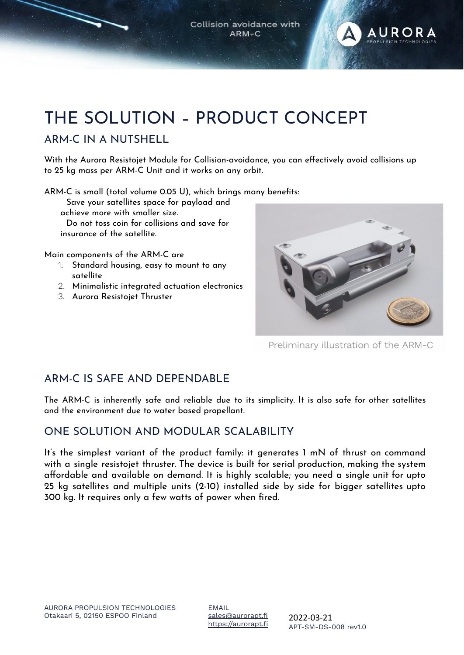Collision avoidance with ARM-C



# <span id="page-2-0"></span>THE SOLUTION – PRODUCT CONCEPT

#### ARM-C IN A NUTSHELL

With the Aurora Resistojet Module for Collision-avoidance, you can effectively avoid collisions up to 25 kg mass per ARM-C Unit and it works on any orbit.

ARM-C is small (total volume 0.05 U), which brings many benefits:

Save your satellites space for payload and achieve more with smaller size.

Do not toss coin for collisions and save for insurance of the satellite.

Main components of the ARM-C are

- 1. Standard housing, easy to mount to any satellite
- 2. Minimalistic integrated actuation electronics
- 3. Aurora Resistojet Thruster



Preliminary illustration of the ARM-C

#### ARM-C IS SAFE AND DEPENDABLE

The ARM-C is inherently safe and reliable due to its simplicity. It is also safe for other satellites and the environment due to water based propellant.

#### ONE SOLUTION AND MODULAR SCALABILITY

It's the simplest variant of the product family: it generates 1 mN of thrust on command with a single resistojet thruster. The device is built for serial production, making the system affordable and available on demand. It is highly scalable; you need a single unit for upto 25 kg satellites and multiple units (2-10) installed side by side for bigger satellites upto 300 kg. It requires only a few watts of power when fired.

EMAIL [sales@aurorapt.fi](mailto:sales@aurorapt.fi) [https://aurorapt.fi](https://aurorapt.fi/)